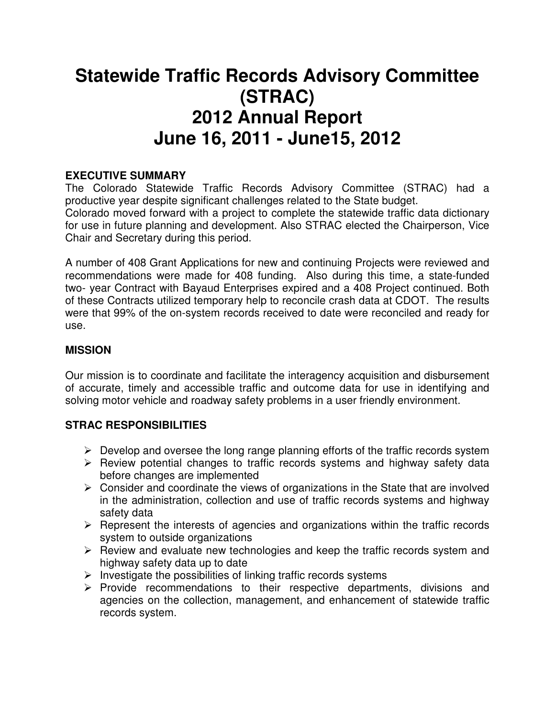# **Statewide Traffic Records Advisory Committee (STRAC) 2012 Annual Report June 16, 2011 - June15, 2012**

### **EXECUTIVE SUMMARY**

The Colorado Statewide Traffic Records Advisory Committee (STRAC) had a productive year despite significant challenges related to the State budget. Colorado moved forward with a project to complete the statewide traffic data dictionary for use in future planning and development. Also STRAC elected the Chairperson, Vice Chair and Secretary during this period.

A number of 408 Grant Applications for new and continuing Projects were reviewed and recommendations were made for 408 funding. Also during this time, a state-funded two- year Contract with Bayaud Enterprises expired and a 408 Project continued. Both of these Contracts utilized temporary help to reconcile crash data at CDOT. The results were that 99% of the on-system records received to date were reconciled and ready for use.

#### **MISSION**

Our mission is to coordinate and facilitate the interagency acquisition and disbursement of accurate, timely and accessible traffic and outcome data for use in identifying and solving motor vehicle and roadway safety problems in a user friendly environment.

#### **STRAC RESPONSIBILITIES**

- $\triangleright$  Develop and oversee the long range planning efforts of the traffic records system
- $\triangleright$  Review potential changes to traffic records systems and highway safety data before changes are implemented
- $\triangleright$  Consider and coordinate the views of organizations in the State that are involved in the administration, collection and use of traffic records systems and highway safety data
- $\triangleright$  Represent the interests of agencies and organizations within the traffic records system to outside organizations
- $\triangleright$  Review and evaluate new technologies and keep the traffic records system and highway safety data up to date
- $\triangleright$  Investigate the possibilities of linking traffic records systems
- $\triangleright$  Provide recommendations to their respective departments, divisions and agencies on the collection, management, and enhancement of statewide traffic records system.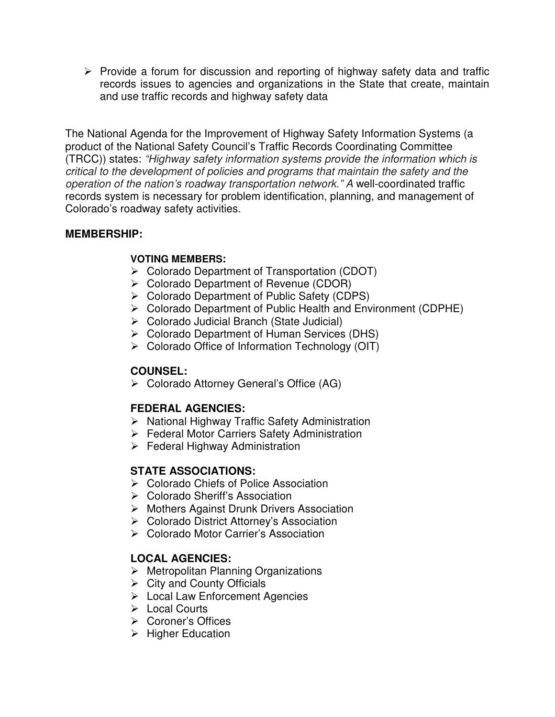$\triangleright$  Provide a forum for discussion and reporting of highway safety data and traffic records issues to agencies and organizations in the State that create, maintain and use traffic records and highway safety data

The National Agenda for the Improvement of Highway Safety Information Systems (a product of the National Safety Council's Traffic Records Coordinating Committee (TRCC)) states: "Highway safety information systems provide the information which is critical to the development of policies and programs that maintain the safety and the operation of the nation's roadway transportation network." A well-coordinated traffic records system is necessary for problem identification, planning, and management of Colorado's roadway safety activities.

#### **MEMBERSHIP:**

#### **VOTING MEMBERS:**

- Colorado Department of Transportation (CDOT)
- ▶ Colorado Department of Revenue (CDOR)
- Colorado Department of Public Safety (CDPS)
- Colorado Department of Public Health and Environment (CDPHE)
- Colorado Judicial Branch (State Judicial)
- Colorado Department of Human Services (DHS)
- $\triangleright$  Colorado Office of Information Technology (OIT)

#### **COUNSEL:**

Colorado Attorney General's Office (AG)

#### **FEDERAL AGENCIES:**

- ▶ National Highway Traffic Safety Administration
- Federal Motor Carriers Safety Administration
- $\triangleright$  Federal Highway Administration

#### **STATE ASSOCIATIONS:**

- ▶ Colorado Chiefs of Police Association
- **► Colorado Sheriff's Association**
- Mothers Against Drunk Drivers Association
- Colorado District Attorney's Association
- **► Colorado Motor Carrier's Association**

#### **LOCAL AGENCIES:**

- $\triangleright$  Metropolitan Planning Organizations
- $\triangleright$  City and County Officials
- $\triangleright$  Local Law Enforcement Agencies
- Local Courts
- Coroner's Offices
- $\triangleright$  Higher Education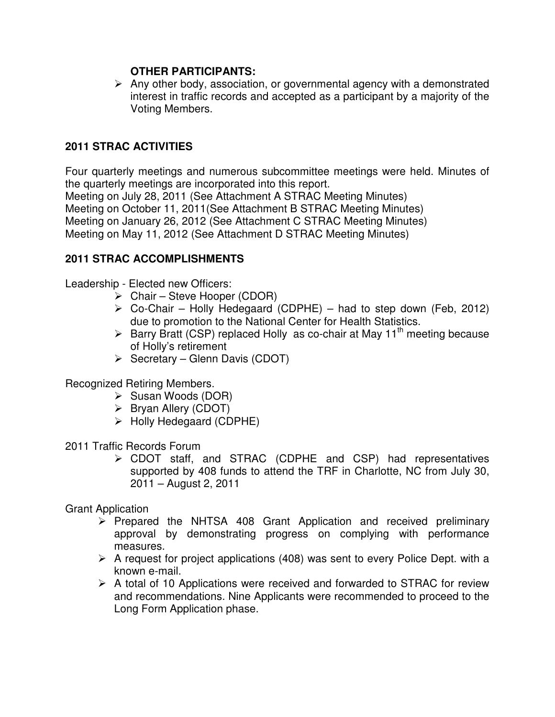#### **OTHER PARTICIPANTS:**

 $\triangleright$  Any other body, association, or governmental agency with a demonstrated interest in traffic records and accepted as a participant by a majority of the Voting Members.

#### **2011 STRAC ACTIVITIES**

Four quarterly meetings and numerous subcommittee meetings were held. Minutes of the quarterly meetings are incorporated into this report. Meeting on July 28, 2011 (See Attachment A STRAC Meeting Minutes) Meeting on October 11, 2011(See Attachment B STRAC Meeting Minutes) Meeting on January 26, 2012 (See Attachment C STRAC Meeting Minutes) Meeting on May 11, 2012 (See Attachment D STRAC Meeting Minutes)

#### **2011 STRAC ACCOMPLISHMENTS**

Leadership - Elected new Officers:

- $\triangleright$  Chair Steve Hooper (CDOR)
- $\triangleright$  Co-Chair Holly Hedegaard (CDPHE) had to step down (Feb, 2012) due to promotion to the National Center for Health Statistics.
- $\triangleright$  Barry Bratt (CSP) replaced Holly as co-chair at May 11<sup>th</sup> meeting because of Holly's retirement
- $\triangleright$  Secretary Glenn Davis (CDOT)

#### Recognized Retiring Members.

- $\triangleright$  Susan Woods (DOR)
- $\triangleright$  Bryan Allery (CDOT)
- $\triangleright$  Holly Hedegaard (CDPHE)

2011 Traffic Records Forum

 CDOT staff, and STRAC (CDPHE and CSP) had representatives supported by 408 funds to attend the TRF in Charlotte, NC from July 30, 2011 – August 2, 2011

Grant Application

- $\triangleright$  Prepared the NHTSA 408 Grant Application and received preliminary approval by demonstrating progress on complying with performance measures.
- $\triangleright$  A request for project applications (408) was sent to every Police Dept. with a known e-mail.
- $\triangleright$  A total of 10 Applications were received and forwarded to STRAC for review and recommendations. Nine Applicants were recommended to proceed to the Long Form Application phase.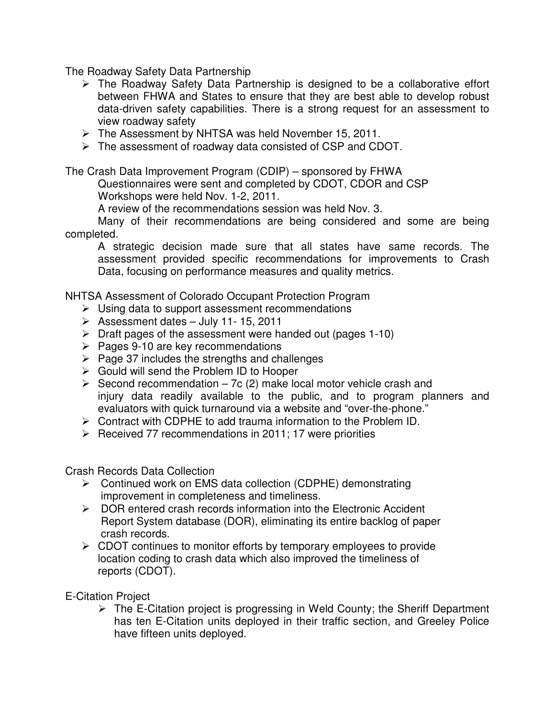The Roadway Safety Data Partnership

- $\triangleright$  The Roadway Safety Data Partnership is designed to be a collaborative effort between FHWA and States to ensure that they are best able to develop robust data-driven safety capabilities. There is a strong request for an assessment to view roadway safety
- $\triangleright$  The Assessment by NHTSA was held November 15, 2011.
- $\triangleright$  The assessment of roadway data consisted of CSP and CDOT.

The Crash Data Improvement Program (CDIP) – sponsored by FHWA

Questionnaires were sent and completed by CDOT, CDOR and CSP

Workshops were held Nov. 1-2, 2011.

A review of the recommendations session was held Nov. 3.

 Many of their recommendations are being considered and some are being completed.

A strategic decision made sure that all states have same records. The assessment provided specific recommendations for improvements to Crash Data, focusing on performance measures and quality metrics.

NHTSA Assessment of Colorado Occupant Protection Program

- $\triangleright$  Using data to support assessment recommendations
- $\triangleright$  Assessment dates July 11- 15, 2011
- $\triangleright$  Draft pages of the assessment were handed out (pages 1-10)
- $\triangleright$  Pages 9-10 are key recommendations
- $\triangleright$  Page 37 includes the strengths and challenges
- $\triangleright$  Gould will send the Problem ID to Hooper
- $\triangleright$  Second recommendation 7c (2) make local motor vehicle crash and injury data readily available to the public, and to program planners and evaluators with quick turnaround via a website and "over-the-phone."
- $\triangleright$  Contract with CDPHE to add trauma information to the Problem ID.
- $\triangleright$  Received 77 recommendations in 2011; 17 were priorities

Crash Records Data Collection

- ▶ Continued work on EMS data collection (CDPHE) demonstrating improvement in completeness and timeliness.
- $\triangleright$  DOR entered crash records information into the Electronic Accident Report System database (DOR), eliminating its entire backlog of paper crash records.
- $\triangleright$  CDOT continues to monitor efforts by temporary employees to provide location coding to crash data which also improved the timeliness of reports (CDOT).

E-Citation Project

 $\triangleright$  The E-Citation project is progressing in Weld County; the Sheriff Department has ten E-Citation units deployed in their traffic section, and Greeley Police have fifteen units deployed.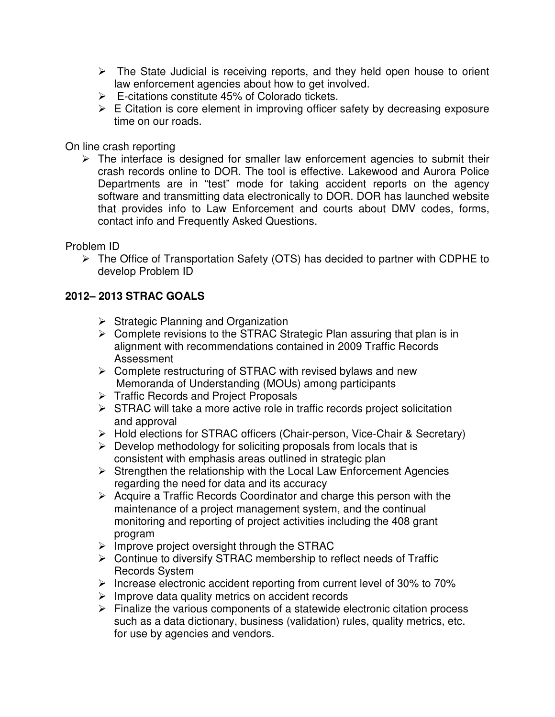- $\triangleright$  The State Judicial is receiving reports, and they held open house to orient law enforcement agencies about how to get involved.
- $\triangleright$  E-citations constitute 45% of Colorado tickets.
- $\triangleright$  E Citation is core element in improving officer safety by decreasing exposure time on our roads.

On line crash reporting

 $\triangleright$  The interface is designed for smaller law enforcement agencies to submit their crash records online to DOR. The tool is effective. Lakewood and Aurora Police Departments are in "test" mode for taking accident reports on the agency software and transmitting data electronically to DOR. DOR has launched website that provides info to Law Enforcement and courts about DMV codes, forms, contact info and Frequently Asked Questions.

Problem ID

 $\triangleright$  The Office of Transportation Safety (OTS) has decided to partner with CDPHE to develop Problem ID

## **2012– 2013 STRAC GOALS**

- $\triangleright$  Strategic Planning and Organization
- $\triangleright$  Complete revisions to the STRAC Strategic Plan assuring that plan is in alignment with recommendations contained in 2009 Traffic Records Assessment
- $\triangleright$  Complete restructuring of STRAC with revised bylaws and new Memoranda of Understanding (MOUs) among participants
- **►** Traffic Records and Project Proposals
- $\triangleright$  STRAC will take a more active role in traffic records project solicitation and approval
- Hold elections for STRAC officers (Chair-person, Vice-Chair & Secretary)
- $\triangleright$  Develop methodology for soliciting proposals from locals that is consistent with emphasis areas outlined in strategic plan
- $\triangleright$  Strengthen the relationship with the Local Law Enforcement Agencies regarding the need for data and its accuracy
- $\triangleright$  Acquire a Traffic Records Coordinator and charge this person with the maintenance of a project management system, and the continual monitoring and reporting of project activities including the 408 grant program
- $\triangleright$  Improve project oversight through the STRAC
- $\triangleright$  Continue to diversify STRAC membership to reflect needs of Traffic Records System
- Increase electronic accident reporting from current level of 30% to 70%
- $\triangleright$  Improve data quality metrics on accident records
- $\triangleright$  Finalize the various components of a statewide electronic citation process such as a data dictionary, business (validation) rules, quality metrics, etc. for use by agencies and vendors.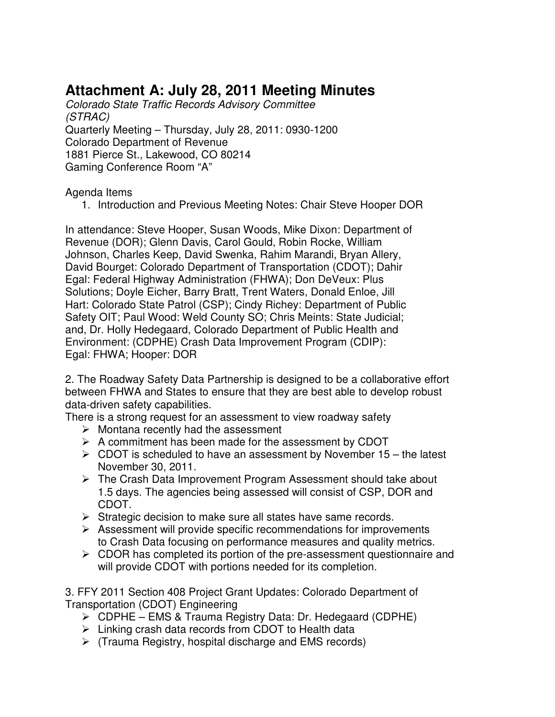## **Attachment A: July 28, 2011 Meeting Minutes**

Colorado State Traffic Records Advisory Committee (STRAC) Quarterly Meeting – Thursday, July 28, 2011: 0930-1200 Colorado Department of Revenue 1881 Pierce St., Lakewood, CO 80214 Gaming Conference Room "A"

Agenda Items

1. Introduction and Previous Meeting Notes: Chair Steve Hooper DOR

In attendance: Steve Hooper, Susan Woods, Mike Dixon: Department of Revenue (DOR); Glenn Davis, Carol Gould, Robin Rocke, William Johnson, Charles Keep, David Swenka, Rahim Marandi, Bryan Allery, David Bourget: Colorado Department of Transportation (CDOT); Dahir Egal: Federal Highway Administration (FHWA); Don DeVeux: Plus Solutions; Doyle Eicher, Barry Bratt, Trent Waters, Donald Enloe, Jill Hart: Colorado State Patrol (CSP); Cindy Richey: Department of Public Safety OIT; Paul Wood: Weld County SO; Chris Meints: State Judicial; and, Dr. Holly Hedegaard, Colorado Department of Public Health and Environment: (CDPHE) Crash Data Improvement Program (CDIP): Egal: FHWA; Hooper: DOR

2. The Roadway Safety Data Partnership is designed to be a collaborative effort between FHWA and States to ensure that they are best able to develop robust data-driven safety capabilities.

There is a strong request for an assessment to view roadway safety

- $\triangleright$  Montana recently had the assessment
- $\triangleright$  A commitment has been made for the assessment by CDOT
- $\triangleright$  CDOT is scheduled to have an assessment by November 15 the latest November 30, 2011.
- $\triangleright$  The Crash Data Improvement Program Assessment should take about 1.5 days. The agencies being assessed will consist of CSP, DOR and CDOT.
- $\triangleright$  Strategic decision to make sure all states have same records.
- $\triangleright$  Assessment will provide specific recommendations for improvements to Crash Data focusing on performance measures and quality metrics.
- $\triangleright$  CDOR has completed its portion of the pre-assessment questionnaire and will provide CDOT with portions needed for its completion.

3. FFY 2011 Section 408 Project Grant Updates: Colorado Department of Transportation (CDOT) Engineering

- CDPHE EMS & Trauma Registry Data: Dr. Hedegaard (CDPHE)
- $\triangleright$  Linking crash data records from CDOT to Health data
- $\triangleright$  (Trauma Registry, hospital discharge and EMS records)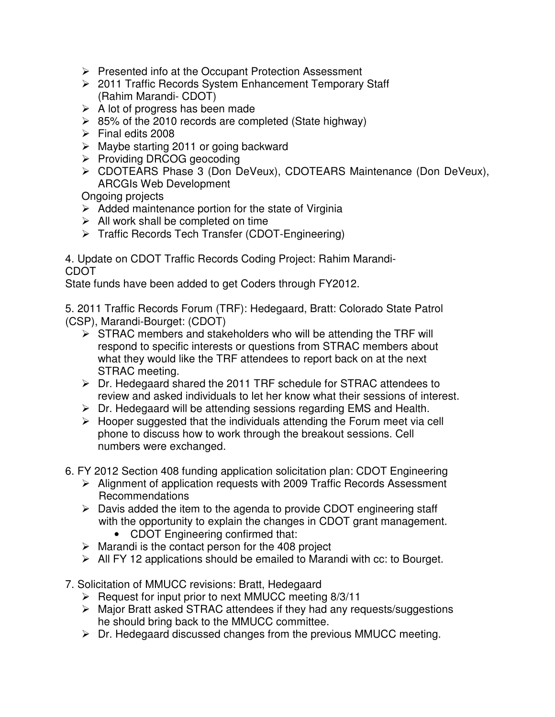- $\triangleright$  Presented info at the Occupant Protection Assessment
- 2011 Traffic Records System Enhancement Temporary Staff (Rahim Marandi- CDOT)
- $\triangleright$  A lot of progress has been made
- $\geq$  85% of the 2010 records are completed (State highway)
- $\triangleright$  Final edits 2008
- $\triangleright$  Maybe starting 2011 or going backward
- $\triangleright$  Providing DRCOG geocoding
- CDOTEARS Phase 3 (Don DeVeux), CDOTEARS Maintenance (Don DeVeux), ARCGIs Web Development

Ongoing projects

- $\triangleright$  Added maintenance portion for the state of Virginia
- $\triangleright$  All work shall be completed on time
- **Fig. 3** Traffic Records Tech Transfer (CDOT-Engineering)

4. Update on CDOT Traffic Records Coding Project: Rahim Marandi-CDOT

State funds have been added to get Coders through FY2012.

5. 2011 Traffic Records Forum (TRF): Hedegaard, Bratt: Colorado State Patrol (CSP), Marandi-Bourget: (CDOT)

- $\triangleright$  STRAC members and stakeholders who will be attending the TRF will respond to specific interests or questions from STRAC members about what they would like the TRF attendees to report back on at the next STRAC meeting.
- $\triangleright$  Dr. Hedegaard shared the 2011 TRF schedule for STRAC attendees to review and asked individuals to let her know what their sessions of interest.
- $\triangleright$  Dr. Hedegaard will be attending sessions regarding EMS and Health.
- $\triangleright$  Hooper suggested that the individuals attending the Forum meet via cell phone to discuss how to work through the breakout sessions. Cell numbers were exchanged.
- 6. FY 2012 Section 408 funding application solicitation plan: CDOT Engineering
	- Alignment of application requests with 2009 Traffic Records Assessment Recommendations
	- $\triangleright$  Davis added the item to the agenda to provide CDOT engineering staff with the opportunity to explain the changes in CDOT grant management.
		- CDOT Engineering confirmed that:
	- $\triangleright$  Marandi is the contact person for the 408 project
	- $\triangleright$  All FY 12 applications should be emailed to Marandi with cc: to Bourget.
- 7. Solicitation of MMUCC revisions: Bratt, Hedegaard
	- $\triangleright$  Request for input prior to next MMUCC meeting 8/3/11
	- $\triangleright$  Major Bratt asked STRAC attendees if they had any requests/suggestions he should bring back to the MMUCC committee.
	- $\triangleright$  Dr. Hedegaard discussed changes from the previous MMUCC meeting.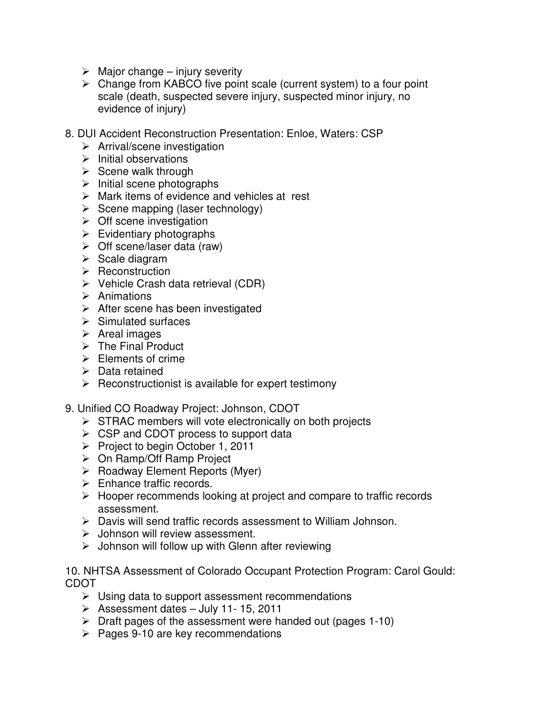- $\triangleright$  Major change injury severity
- $\triangleright$  Change from KABCO five point scale (current system) to a four point scale (death, suspected severe injury, suspected minor injury, no evidence of injury)
- 8. DUI Accident Reconstruction Presentation: Enloe, Waters: CSP
	- $\triangleright$  Arrival/scene investigation
	- $\triangleright$  Initial observations
	- $\triangleright$  Scene walk through
	- $\triangleright$  Initial scene photographs
	- $\triangleright$  Mark items of evidence and vehicles at rest
	- $\triangleright$  Scene mapping (laser technology)
	- $\triangleright$  Off scene investigation
	- $\triangleright$  Evidentiary photographs
	- $\triangleright$  Off scene/laser data (raw)
	- $\triangleright$  Scale diagram
	- $\triangleright$  Reconstruction
	- $\triangleright$  Vehicle Crash data retrieval (CDR)
	- $\triangleright$  Animations
	- $\triangleright$  After scene has been investigated
	- $\triangleright$  Simulated surfaces
	- $\triangleright$  Areal images
	- $\triangleright$  The Final Product
	- $\triangleright$  Elements of crime
	- $\triangleright$  Data retained
	- $\triangleright$  Reconstructionist is available for expert testimony
- 9. Unified CO Roadway Project: Johnson, CDOT
	- $\triangleright$  STRAC members will vote electronically on both projects
	- $\triangleright$  CSP and CDOT process to support data
	- $\triangleright$  Project to begin October 1, 2011
	- On Ramp/Off Ramp Project
	- $\triangleright$  Roadway Element Reports (Myer)
	- $\triangleright$  Enhance traffic records.
	- $\triangleright$  Hooper recommends looking at project and compare to traffic records assessment.
	- Davis will send traffic records assessment to William Johnson.
	- $\triangleright$  Johnson will review assessment.
	- $\triangleright$  Johnson will follow up with Glenn after reviewing

#### 10. NHTSA Assessment of Colorado Occupant Protection Program: Carol Gould: CDOT

- $\triangleright$  Using data to support assessment recommendations
- $\geq$  Assessment dates July 11-15, 2011
- $\triangleright$  Draft pages of the assessment were handed out (pages 1-10)
- $\triangleright$  Pages 9-10 are key recommendations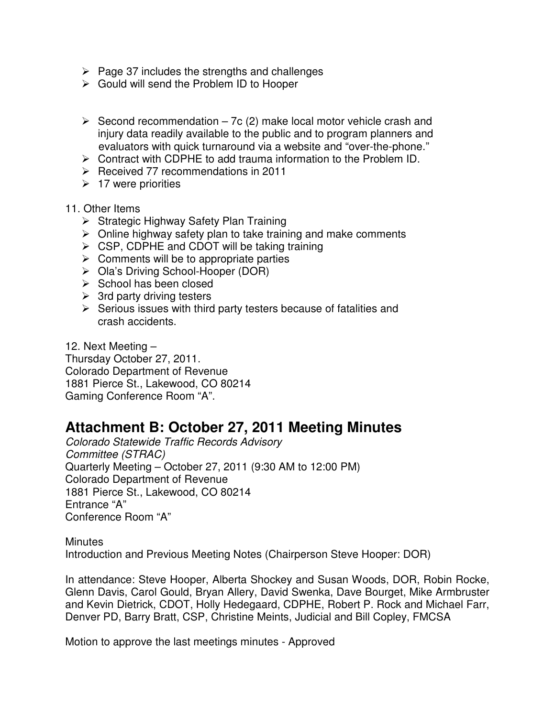- $\triangleright$  Page 37 includes the strengths and challenges
- Gould will send the Problem ID to Hooper
- $\triangleright$  Second recommendation 7c (2) make local motor vehicle crash and injury data readily available to the public and to program planners and evaluators with quick turnaround via a website and "over-the-phone."
- $\triangleright$  Contract with CDPHE to add trauma information to the Problem ID.
- $\triangleright$  Received 77 recommendations in 2011
- $\geq 17$  were priorities
- 11. Other Items
	- $\triangleright$  Strategic Highway Safety Plan Training
	- $\triangleright$  Online highway safety plan to take training and make comments
	- $\triangleright$  CSP, CDPHE and CDOT will be taking training
	- $\triangleright$  Comments will be to appropriate parties
	- ▶ Ola's Driving School-Hooper (DOR)
	- $\triangleright$  School has been closed
	- $\geq$  3rd party driving testers
	- $\triangleright$  Serious issues with third party testers because of fatalities and crash accidents.

12. Next Meeting – Thursday October 27, 2011. Colorado Department of Revenue 1881 Pierce St., Lakewood, CO 80214 Gaming Conference Room "A".

## **Attachment B: October 27, 2011 Meeting Minutes**

Colorado Statewide Traffic Records Advisory Committee (STRAC) Quarterly Meeting – October 27, 2011 (9:30 AM to 12:00 PM) Colorado Department of Revenue 1881 Pierce St., Lakewood, CO 80214 Entrance "A" Conference Room "A"

**Minutes** Introduction and Previous Meeting Notes (Chairperson Steve Hooper: DOR)

In attendance: Steve Hooper, Alberta Shockey and Susan Woods, DOR, Robin Rocke, Glenn Davis, Carol Gould, Bryan Allery, David Swenka, Dave Bourget, Mike Armbruster and Kevin Dietrick, CDOT, Holly Hedegaard, CDPHE, Robert P. Rock and Michael Farr, Denver PD, Barry Bratt, CSP, Christine Meints, Judicial and Bill Copley, FMCSA

Motion to approve the last meetings minutes - Approved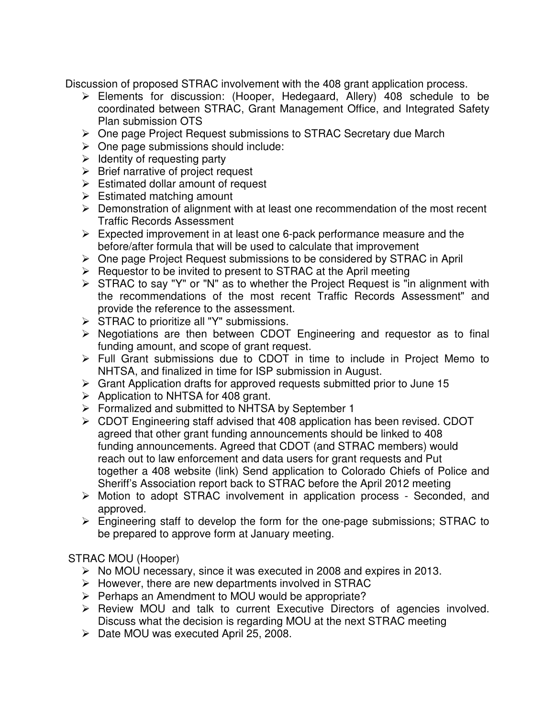Discussion of proposed STRAC involvement with the 408 grant application process.

- Elements for discussion: (Hooper, Hedegaard, Allery) 408 schedule to be coordinated between STRAC, Grant Management Office, and Integrated Safety Plan submission OTS
- One page Project Request submissions to STRAC Secretary due March
- $\triangleright$  One page submissions should include:
- $\triangleright$  Identity of requesting party
- $\triangleright$  Brief narrative of project request
- $\triangleright$  Estimated dollar amount of request
- $\triangleright$  Estimated matching amount
- $\triangleright$  Demonstration of alignment with at least one recommendation of the most recent Traffic Records Assessment
- $\triangleright$  Expected improvement in at least one 6-pack performance measure and the before/after formula that will be used to calculate that improvement
- One page Project Request submissions to be considered by STRAC in April
- $\triangleright$  Requestor to be invited to present to STRAC at the April meeting
- $\triangleright$  STRAC to say "Y" or "N" as to whether the Project Request is "in alignment with the recommendations of the most recent Traffic Records Assessment" and provide the reference to the assessment.
- $\triangleright$  STRAC to prioritize all "Y" submissions.
- $\triangleright$  Negotiations are then between CDOT Engineering and requestor as to final funding amount, and scope of grant request.
- Full Grant submissions due to CDOT in time to include in Project Memo to NHTSA, and finalized in time for ISP submission in August.
- $\triangleright$  Grant Application drafts for approved requests submitted prior to June 15
- $\triangleright$  Application to NHTSA for 408 grant.
- Formalized and submitted to NHTSA by September 1
- $\triangleright$  CDOT Engineering staff advised that 408 application has been revised. CDOT agreed that other grant funding announcements should be linked to 408 funding announcements. Agreed that CDOT (and STRAC members) would reach out to law enforcement and data users for grant requests and Put together a 408 website (link) Send application to Colorado Chiefs of Police and Sheriff's Association report back to STRAC before the April 2012 meeting
- Motion to adopt STRAC involvement in application process Seconded, and approved.
- $\triangleright$  Engineering staff to develop the form for the one-page submissions; STRAC to be prepared to approve form at January meeting.

## STRAC MOU (Hooper)

- $\triangleright$  No MOU necessary, since it was executed in 2008 and expires in 2013.
- $\triangleright$  However, there are new departments involved in STRAC
- $\triangleright$  Perhaps an Amendment to MOU would be appropriate?
- $\triangleright$  Review MOU and talk to current Executive Directors of agencies involved. Discuss what the decision is regarding MOU at the next STRAC meeting
- $\triangleright$  Date MOU was executed April 25, 2008.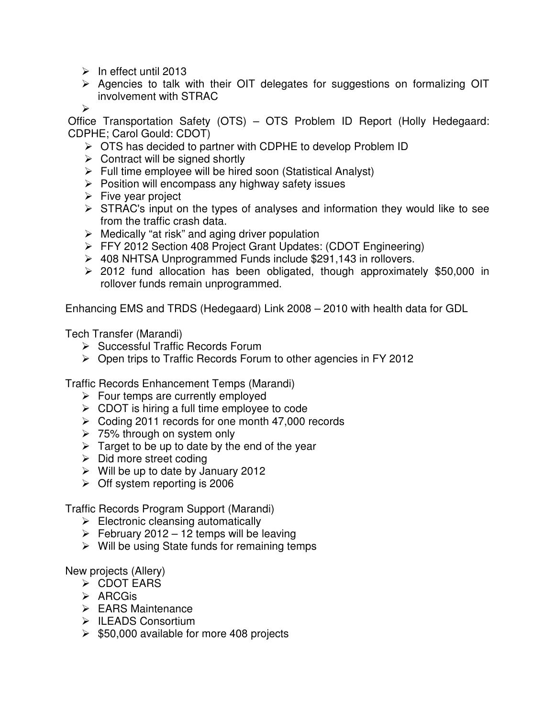- $\triangleright$  In effect until 2013
- $\triangleright$  Agencies to talk with their OIT delegates for suggestions on formalizing OIT involvement with STRAC

 $\blacktriangleright$ 

Office Transportation Safety (OTS) – OTS Problem ID Report (Holly Hedegaard: CDPHE; Carol Gould: CDOT)

- **► OTS has decided to partner with CDPHE to develop Problem ID**
- $\triangleright$  Contract will be signed shortly
- $\triangleright$  Full time employee will be hired soon (Statistical Analyst)
- $\triangleright$  Position will encompass any highway safety issues
- $\triangleright$  Five year project
- $\triangleright$  STRAC's input on the types of analyses and information they would like to see from the traffic crash data.
- $\triangleright$  Medically "at risk" and aging driver population
- FFY 2012 Section 408 Project Grant Updates: (CDOT Engineering)
- 408 NHTSA Unprogrammed Funds include \$291,143 in rollovers.
- $\geq$  2012 fund allocation has been obligated, though approximately \$50,000 in rollover funds remain unprogrammed.

Enhancing EMS and TRDS (Hedegaard) Link 2008 – 2010 with health data for GDL

Tech Transfer (Marandi)

- $\triangleright$  Successful Traffic Records Forum
- $\triangleright$  Open trips to Traffic Records Forum to other agencies in FY 2012

Traffic Records Enhancement Temps (Marandi)

- $\triangleright$  Four temps are currently employed
- $\triangleright$  CDOT is hiring a full time employee to code
- $\geq$  Coding 2011 records for one month 47,000 records
- 75% through on system only
- $\triangleright$  Target to be up to date by the end of the year
- $\triangleright$  Did more street coding
- $\triangleright$  Will be up to date by January 2012
- $\geq$  Off system reporting is 2006

Traffic Records Program Support (Marandi)

- $\triangleright$  Electronic cleansing automatically
- $\triangleright$  February 2012 12 temps will be leaving
- $\triangleright$  Will be using State funds for remaining temps

New projects (Allery)

- **≻ CDOT EARS**
- $\triangleright$  ARCGis
- $\triangleright$  EARS Maintenance
- $\triangleright$  ILEADS Consortium
- $\geq$  \$50,000 available for more 408 projects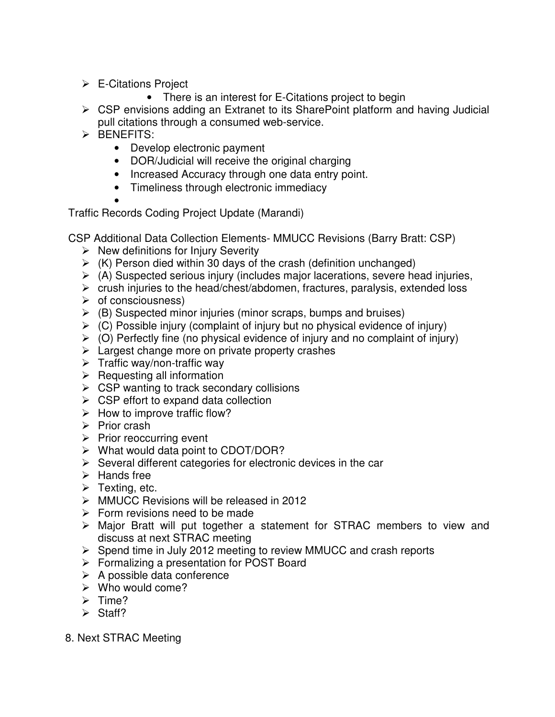- E-Citations Project
	- There is an interest for E-Citations project to begin
- CSP envisions adding an Extranet to its SharePoint platform and having Judicial pull citations through a consumed web-service.
- $\triangleright$  BENEFITS:
	- Develop electronic payment
	- DOR/Judicial will receive the original charging
	- Increased Accuracy through one data entry point.
	- Timeliness through electronic immediacy

•

Traffic Records Coding Project Update (Marandi)

- CSP Additional Data Collection Elements- MMUCC Revisions (Barry Bratt: CSP)
	- $\triangleright$  New definitions for Injury Severity
	- $\triangleright$  (K) Person died within 30 days of the crash (definition unchanged)
	- $\triangleright$  (A) Suspected serious injury (includes major lacerations, severe head injuries,
	- $\triangleright$  crush injuries to the head/chest/abdomen, fractures, paralysis, extended loss
	- $\triangleright$  of consciousness)
	- $\triangleright$  (B) Suspected minor injuries (minor scraps, bumps and bruises)
	- $\triangleright$  (C) Possible injury (complaint of injury but no physical evidence of injury)
	- $\triangleright$  (O) Perfectly fine (no physical evidence of injury and no complaint of injury)
	- $\triangleright$  Largest change more on private property crashes
	- $\triangleright$  Traffic way/non-traffic way
	- $\triangleright$  Requesting all information
	- $\triangleright$  CSP wanting to track secondary collisions
	- $\triangleright$  CSP effort to expand data collection
	- $\triangleright$  How to improve traffic flow?
	- $\triangleright$  Prior crash
	- $\triangleright$  Prior reoccurring event
	- $\triangleright$  What would data point to CDOT/DOR?
	- $\triangleright$  Several different categories for electronic devices in the car
	- $\triangleright$  Hands free
	- $\triangleright$  Texting, etc.
	- MMUCC Revisions will be released in 2012
	- $\triangleright$  Form revisions need to be made
	- Major Bratt will put together a statement for STRAC members to view and discuss at next STRAC meeting
	- $\triangleright$  Spend time in July 2012 meeting to review MMUCC and crash reports
	- Formalizing a presentation for POST Board
	- $\triangleright$  A possible data conference
	- $\triangleright$  Who would come?
	- $\triangleright$  Time?
	- $\triangleright$  Staff?
- 8. Next STRAC Meeting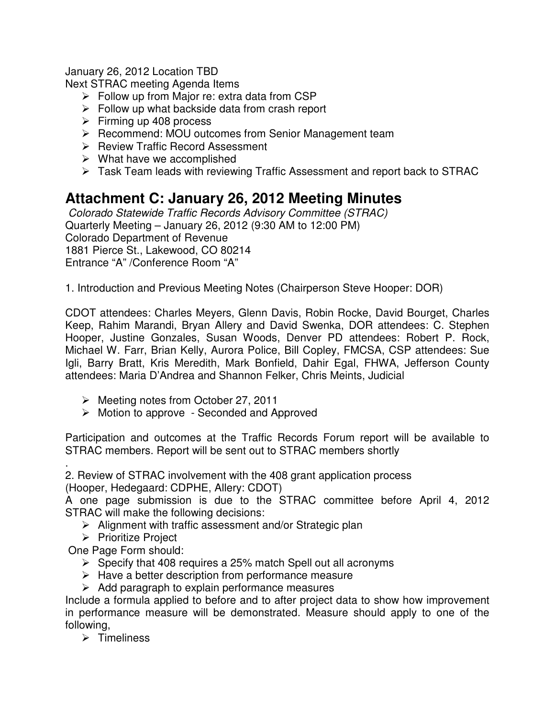January 26, 2012 Location TBD

Next STRAC meeting Agenda Items

- $\triangleright$  Follow up from Major re: extra data from CSP
- $\triangleright$  Follow up what backside data from crash report
- $\triangleright$  Firming up 408 process
- $\triangleright$  Recommend: MOU outcomes from Senior Management team
- ▶ Review Traffic Record Assessment
- $\triangleright$  What have we accomplished
- Task Team leads with reviewing Traffic Assessment and report back to STRAC

## **Attachment C: January 26, 2012 Meeting Minutes**

Colorado Statewide Traffic Records Advisory Committee (STRAC) Quarterly Meeting – January 26, 2012 (9:30 AM to 12:00 PM) Colorado Department of Revenue 1881 Pierce St., Lakewood, CO 80214 Entrance "A" /Conference Room "A"

1. Introduction and Previous Meeting Notes (Chairperson Steve Hooper: DOR)

CDOT attendees: Charles Meyers, Glenn Davis, Robin Rocke, David Bourget, Charles Keep, Rahim Marandi, Bryan Allery and David Swenka, DOR attendees: C. Stephen Hooper, Justine Gonzales, Susan Woods, Denver PD attendees: Robert P. Rock, Michael W. Farr, Brian Kelly, Aurora Police, Bill Copley, FMCSA, CSP attendees: Sue Igli, Barry Bratt, Kris Meredith, Mark Bonfield, Dahir Egal, FHWA, Jefferson County attendees: Maria D'Andrea and Shannon Felker, Chris Meints, Judicial

- $\triangleright$  Meeting notes from October 27, 2011
- $\triangleright$  Motion to approve Seconded and Approved

Participation and outcomes at the Traffic Records Forum report will be available to STRAC members. Report will be sent out to STRAC members shortly

. 2. Review of STRAC involvement with the 408 grant application process (Hooper, Hedegaard: CDPHE, Allery: CDOT)

A one page submission is due to the STRAC committee before April 4, 2012 STRAC will make the following decisions:

- $\triangleright$  Alignment with traffic assessment and/or Strategic plan
- $\triangleright$  Prioritize Project
- One Page Form should:
	- $\triangleright$  Specify that 408 requires a 25% match Spell out all acronyms
	- $\triangleright$  Have a better description from performance measure
	- $\triangleright$  Add paragraph to explain performance measures

Include a formula applied to before and to after project data to show how improvement in performance measure will be demonstrated. Measure should apply to one of the following,

 $\triangleright$  Timeliness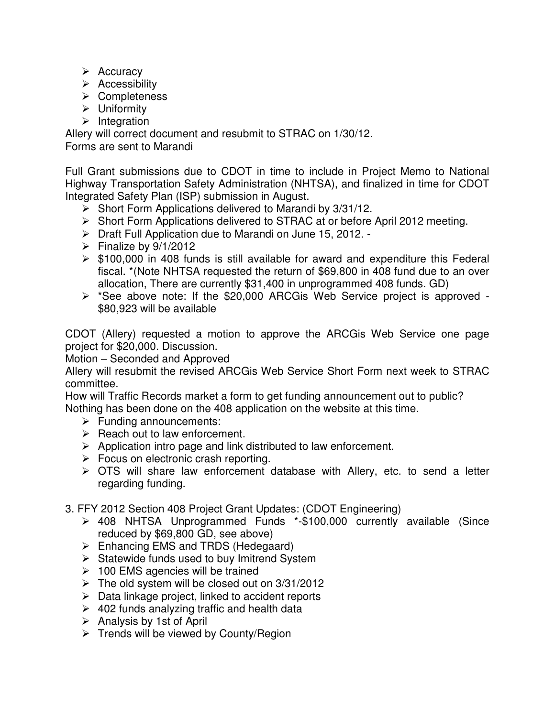- $\triangleright$  Accuracy
- $\triangleright$  Accessibility
- Completeness
- $\triangleright$  Uniformity
- $\triangleright$  Integration

Allery will correct document and resubmit to STRAC on 1/30/12. Forms are sent to Marandi

Full Grant submissions due to CDOT in time to include in Project Memo to National Highway Transportation Safety Administration (NHTSA), and finalized in time for CDOT Integrated Safety Plan (ISP) submission in August.

- $\triangleright$  Short Form Applications delivered to Marandi by 3/31/12.
- Short Form Applications delivered to STRAC at or before April 2012 meeting.
- ▶ Draft Full Application due to Marandi on June 15, 2012. -
- $\triangleright$  Finalize by 9/1/2012
- $\triangleright$  \$100,000 in 408 funds is still available for award and expenditure this Federal fiscal. \*(Note NHTSA requested the return of \$69,800 in 408 fund due to an over allocation, There are currently \$31,400 in unprogrammed 408 funds. GD)
- \*See above note: If the \$20,000 ARCGis Web Service project is approved \$80,923 will be available

CDOT (Allery) requested a motion to approve the ARCGis Web Service one page project for \$20,000. Discussion.

Motion – Seconded and Approved

Allery will resubmit the revised ARCGis Web Service Short Form next week to STRAC committee.

How will Traffic Records market a form to get funding announcement out to public? Nothing has been done on the 408 application on the website at this time.

- $\triangleright$  Funding announcements:
- $\triangleright$  Reach out to law enforcement.
- $\triangleright$  Application intro page and link distributed to law enforcement.
- $\triangleright$  Focus on electronic crash reporting.
- $\triangleright$  OTS will share law enforcement database with Allery, etc. to send a letter regarding funding.
- 3. FFY 2012 Section 408 Project Grant Updates: (CDOT Engineering)
	- 408 NHTSA Unprogrammed Funds \*-\$100,000 currently available (Since reduced by \$69,800 GD, see above)
	- $\triangleright$  Enhancing EMS and TRDS (Hedegaard)
	- $\triangleright$  Statewide funds used to buy Imitrend System
	- $\geq$  100 EMS agencies will be trained
	- $\triangleright$  The old system will be closed out on 3/31/2012
	- $\triangleright$  Data linkage project, linked to accident reports
	- $\geq$  402 funds analyzing traffic and health data
	- $\triangleright$  Analysis by 1st of April
	- $\triangleright$  Trends will be viewed by County/Region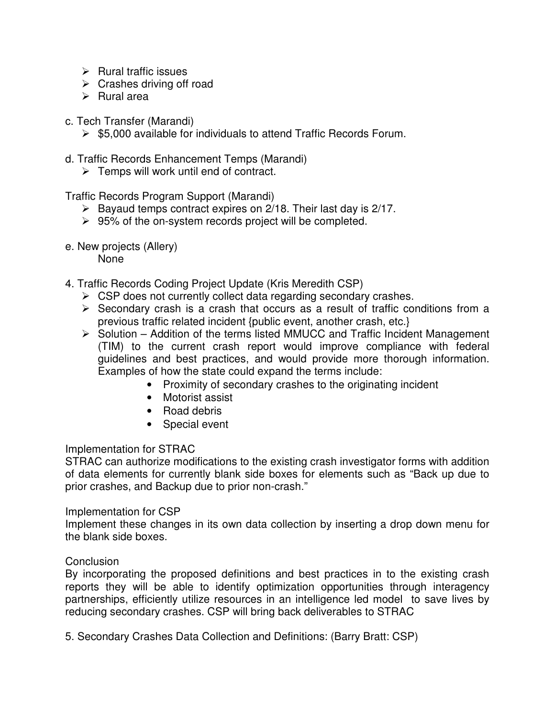- $\triangleright$  Rural traffic issues
- $\triangleright$  Crashes driving off road
- $\triangleright$  Rural area
- c. Tech Transfer (Marandi)
	- $\triangleright$  \$5,000 available for individuals to attend Traffic Records Forum.
- d. Traffic Records Enhancement Temps (Marandi)
	- $\triangleright$  Temps will work until end of contract.

Traffic Records Program Support (Marandi)

- $\triangleright$  Bayaud temps contract expires on 2/18. Their last day is 2/17.
- $\geq$  95% of the on-system records project will be completed.
- e. New projects (Allery)

None

- 4. Traffic Records Coding Project Update (Kris Meredith CSP)
	- $\triangleright$  CSP does not currently collect data regarding secondary crashes.
	- $\triangleright$  Secondary crash is a crash that occurs as a result of traffic conditions from a previous traffic related incident {public event, another crash, etc.}
	- $\triangleright$  Solution Addition of the terms listed MMUCC and Traffic Incident Management (TIM) to the current crash report would improve compliance with federal guidelines and best practices, and would provide more thorough information. Examples of how the state could expand the terms include:
		- Proximity of secondary crashes to the originating incident
		- Motorist assist
		- Road debris
		- Special event

#### Implementation for STRAC

STRAC can authorize modifications to the existing crash investigator forms with addition of data elements for currently blank side boxes for elements such as "Back up due to prior crashes, and Backup due to prior non-crash."

#### Implementation for CSP

Implement these changes in its own data collection by inserting a drop down menu for the blank side boxes.

#### **Conclusion**

By incorporating the proposed definitions and best practices in to the existing crash reports they will be able to identify optimization opportunities through interagency partnerships, efficiently utilize resources in an intelligence led model to save lives by reducing secondary crashes. CSP will bring back deliverables to STRAC

5. Secondary Crashes Data Collection and Definitions: (Barry Bratt: CSP)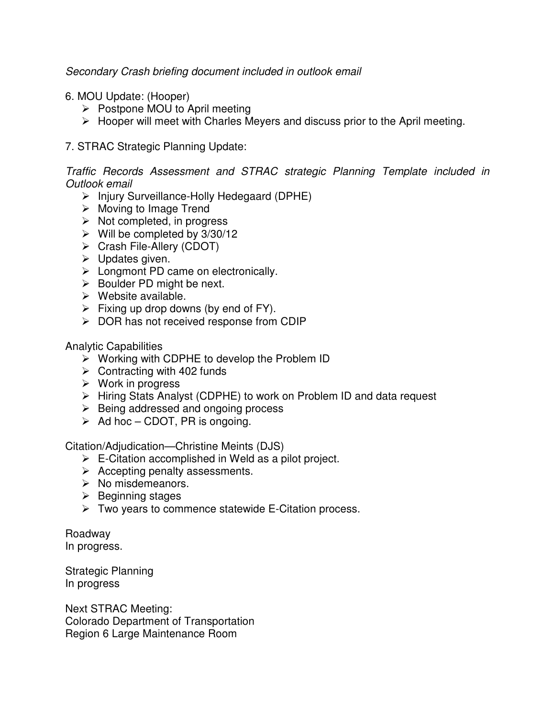#### Secondary Crash briefing document included in outlook email

- 6. MOU Update: (Hooper)
	- $\triangleright$  Postpone MOU to April meeting
	- $\triangleright$  Hooper will meet with Charles Meyers and discuss prior to the April meeting.

#### 7. STRAC Strategic Planning Update:

Traffic Records Assessment and STRAC strategic Planning Template included in Outlook email

- $\triangleright$  Injury Surveillance-Holly Hedegaard (DPHE)
- $\triangleright$  Moving to Image Trend
- $\triangleright$  Not completed, in progress
- $\triangleright$  Will be completed by 3/30/12
- Crash File-Allery (CDOT)
- $\triangleright$  Updates given.
- $\triangleright$  Longmont PD came on electronically.
- $\triangleright$  Boulder PD might be next.
- $\triangleright$  Website available.
- $\triangleright$  Fixing up drop downs (by end of FY).
- $\triangleright$  DOR has not received response from CDIP

Analytic Capabilities

- $\triangleright$  Working with CDPHE to develop the Problem ID
- $\triangleright$  Contracting with 402 funds
- $\triangleright$  Work in progress
- Hiring Stats Analyst (CDPHE) to work on Problem ID and data request
- $\triangleright$  Being addressed and ongoing process
- $\triangleright$  Ad hoc CDOT, PR is ongoing.

Citation/Adjudication—Christine Meints (DJS)

- $\triangleright$  E-Citation accomplished in Weld as a pilot project.
- $\triangleright$  Accepting penalty assessments.
- $\triangleright$  No misdemeanors.
- $\triangleright$  Beginning stages
- $\triangleright$  Two years to commence statewide E-Citation process.

Roadway In progress.

Strategic Planning In progress

Next STRAC Meeting: Colorado Department of Transportation Region 6 Large Maintenance Room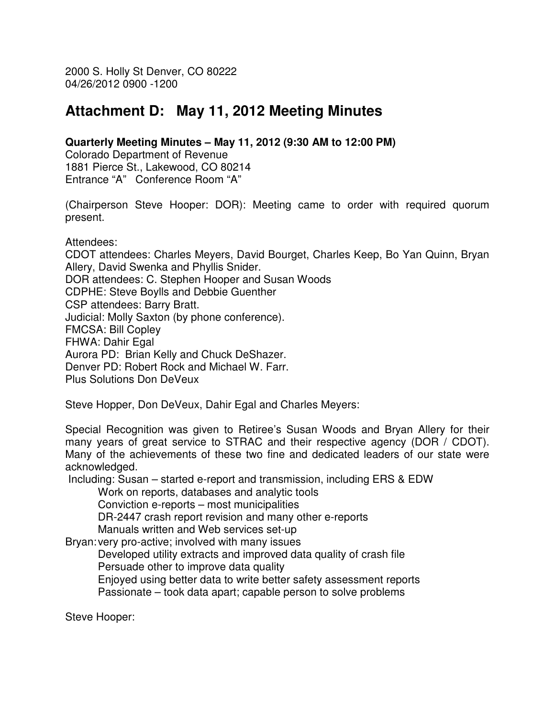2000 S. Holly St Denver, CO 80222 04/26/2012 0900 -1200

## **Attachment D: May 11, 2012 Meeting Minutes**

#### **Quarterly Meeting Minutes – May 11, 2012 (9:30 AM to 12:00 PM)**

Colorado Department of Revenue 1881 Pierce St., Lakewood, CO 80214 Entrance "A" Conference Room "A"

(Chairperson Steve Hooper: DOR): Meeting came to order with required quorum present.

Attendees:

CDOT attendees: Charles Meyers, David Bourget, Charles Keep, Bo Yan Quinn, Bryan Allery, David Swenka and Phyllis Snider. DOR attendees: C. Stephen Hooper and Susan Woods CDPHE: Steve Boylls and Debbie Guenther CSP attendees: Barry Bratt. Judicial: Molly Saxton (by phone conference). FMCSA: Bill Copley FHWA: Dahir Egal Aurora PD: Brian Kelly and Chuck DeShazer. Denver PD: Robert Rock and Michael W. Farr. Plus Solutions Don DeVeux

Steve Hopper, Don DeVeux, Dahir Egal and Charles Meyers:

Special Recognition was given to Retiree's Susan Woods and Bryan Allery for their many years of great service to STRAC and their respective agency (DOR / CDOT). Many of the achievements of these two fine and dedicated leaders of our state were acknowledged.

Including: Susan – started e-report and transmission, including ERS & EDW

Work on reports, databases and analytic tools

Conviction e-reports – most municipalities

DR-2447 crash report revision and many other e-reports

Manuals written and Web services set-up

Bryan: very pro-active; involved with many issues

 Developed utility extracts and improved data quality of crash file Persuade other to improve data quality

 Enjoyed using better data to write better safety assessment reports Passionate – took data apart; capable person to solve problems

Steve Hooper: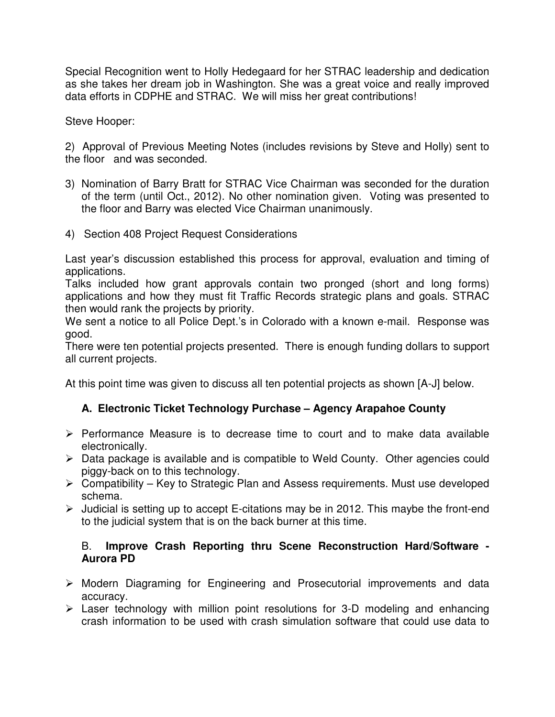Special Recognition went to Holly Hedegaard for her STRAC leadership and dedication as she takes her dream job in Washington. She was a great voice and really improved data efforts in CDPHE and STRAC. We will miss her great contributions!

Steve Hooper:

2) Approval of Previous Meeting Notes (includes revisions by Steve and Holly) sent to the floor and was seconded.

- 3) Nomination of Barry Bratt for STRAC Vice Chairman was seconded for the duration of the term (until Oct., 2012). No other nomination given. Voting was presented to the floor and Barry was elected Vice Chairman unanimously.
- 4) Section 408 Project Request Considerations

Last year's discussion established this process for approval, evaluation and timing of applications.

Talks included how grant approvals contain two pronged (short and long forms) applications and how they must fit Traffic Records strategic plans and goals. STRAC then would rank the projects by priority.

We sent a notice to all Police Dept.'s in Colorado with a known e-mail. Response was good.

There were ten potential projects presented. There is enough funding dollars to support all current projects.

At this point time was given to discuss all ten potential projects as shown [A-J] below.

## **A. Electronic Ticket Technology Purchase – Agency Arapahoe County**

- $\triangleright$  Performance Measure is to decrease time to court and to make data available electronically.
- $\triangleright$  Data package is available and is compatible to Weld County. Other agencies could piggy-back on to this technology.
- $\triangleright$  Compatibility Key to Strategic Plan and Assess requirements. Must use developed schema.
- $\triangleright$  Judicial is setting up to accept E-citations may be in 2012. This maybe the front-end to the judicial system that is on the back burner at this time.

#### B. **Improve Crash Reporting thru Scene Reconstruction Hard/Software - Aurora PD**

- Modern Diagraming for Engineering and Prosecutorial improvements and data accuracy.
- $\triangleright$  Laser technology with million point resolutions for 3-D modeling and enhancing crash information to be used with crash simulation software that could use data to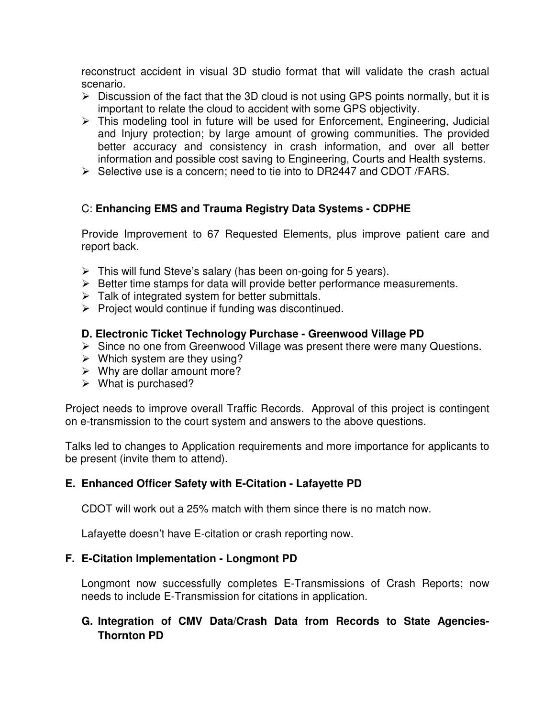reconstruct accident in visual 3D studio format that will validate the crash actual scenario.

- $\triangleright$  Discussion of the fact that the 3D cloud is not using GPS points normally, but it is important to relate the cloud to accident with some GPS objectivity.
- $\triangleright$  This modeling tool in future will be used for Enforcement, Engineering, Judicial and Injury protection; by large amount of growing communities. The provided better accuracy and consistency in crash information, and over all better information and possible cost saving to Engineering, Courts and Health systems.
- $\triangleright$  Selective use is a concern; need to tie into to DR2447 and CDOT / FARS.

### C: **Enhancing EMS and Trauma Registry Data Systems - CDPHE**

Provide Improvement to 67 Requested Elements, plus improve patient care and report back.

- $\triangleright$  This will fund Steve's salary (has been on-going for 5 years).
- $\triangleright$  Better time stamps for data will provide better performance measurements.
- $\triangleright$  Talk of integrated system for better submittals.
- $\triangleright$  Project would continue if funding was discontinued.

#### **D. Electronic Ticket Technology Purchase - Greenwood Village PD**

- $\triangleright$  Since no one from Greenwood Village was present there were many Questions.
- $\triangleright$  Which system are they using?
- $\triangleright$  Why are dollar amount more?
- $\triangleright$  What is purchased?

Project needs to improve overall Traffic Records. Approval of this project is contingent on e-transmission to the court system and answers to the above questions.

Talks led to changes to Application requirements and more importance for applicants to be present (invite them to attend).

#### **E. Enhanced Officer Safety with E-Citation - Lafayette PD**

CDOT will work out a 25% match with them since there is no match now.

Lafayette doesn't have E-citation or crash reporting now.

#### **F. E-Citation Implementation - Longmont PD**

Longmont now successfully completes E-Transmissions of Crash Reports; now needs to include E-Transmission for citations in application.

### **G. Integration of CMV Data/Crash Data from Records to State Agencies-Thornton PD**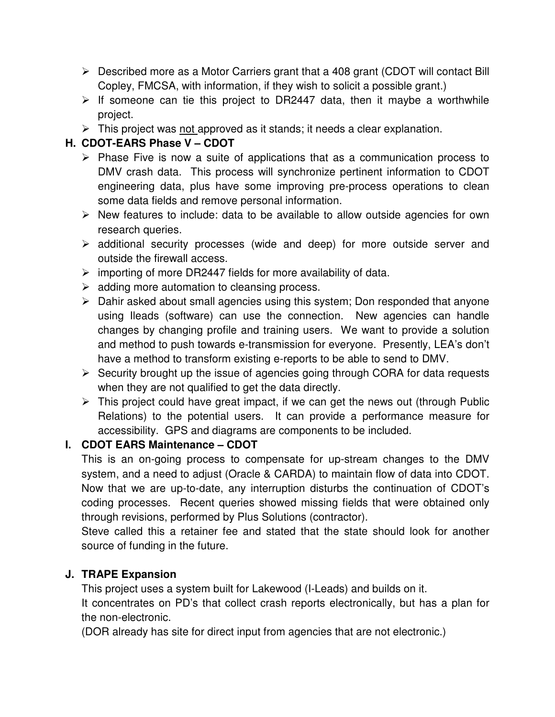- $\triangleright$  Described more as a Motor Carriers grant that a 408 grant (CDOT will contact Bill Copley, FMCSA, with information, if they wish to solicit a possible grant.)
- $\triangleright$  If someone can tie this project to DR2447 data, then it maybe a worthwhile project.
- $\triangleright$  This project was not approved as it stands; it needs a clear explanation.

## **H. CDOT-EARS Phase V – CDOT**

- $\triangleright$  Phase Five is now a suite of applications that as a communication process to DMV crash data. This process will synchronize pertinent information to CDOT engineering data, plus have some improving pre-process operations to clean some data fields and remove personal information.
- $\triangleright$  New features to include: data to be available to allow outside agencies for own research queries.
- $\triangleright$  additional security processes (wide and deep) for more outside server and outside the firewall access.
- $\triangleright$  importing of more DR2447 fields for more availability of data.
- $\triangleright$  adding more automation to cleansing process.
- $\triangleright$  Dahir asked about small agencies using this system; Don responded that anyone using Ileads (software) can use the connection. New agencies can handle changes by changing profile and training users. We want to provide a solution and method to push towards e-transmission for everyone. Presently, LEA's don't have a method to transform existing e-reports to be able to send to DMV.
- $\triangleright$  Security brought up the issue of agencies going through CORA for data requests when they are not qualified to get the data directly.
- $\triangleright$  This project could have great impact, if we can get the news out (through Public Relations) to the potential users. It can provide a performance measure for accessibility. GPS and diagrams are components to be included.

## **I. CDOT EARS Maintenance – CDOT**

This is an on-going process to compensate for up-stream changes to the DMV system, and a need to adjust (Oracle & CARDA) to maintain flow of data into CDOT. Now that we are up-to-date, any interruption disturbs the continuation of CDOT's coding processes. Recent queries showed missing fields that were obtained only through revisions, performed by Plus Solutions (contractor).

Steve called this a retainer fee and stated that the state should look for another source of funding in the future.

## **J. TRAPE Expansion**

This project uses a system built for Lakewood (I-Leads) and builds on it.

It concentrates on PD's that collect crash reports electronically, but has a plan for the non-electronic.

(DOR already has site for direct input from agencies that are not electronic.)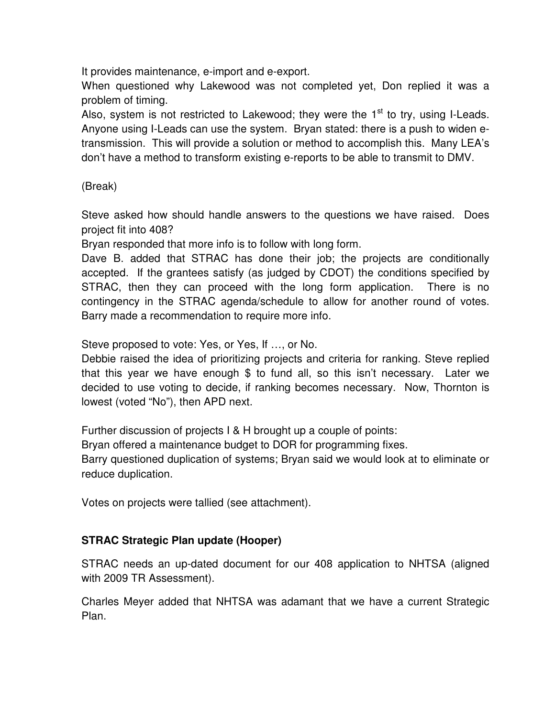It provides maintenance, e-import and e-export.

When questioned why Lakewood was not completed yet, Don replied it was a problem of timing.

Also, system is not restricted to Lakewood; they were the  $1<sup>st</sup>$  to try, using I-Leads. Anyone using I-Leads can use the system. Bryan stated: there is a push to widen etransmission. This will provide a solution or method to accomplish this. Many LEA's don't have a method to transform existing e-reports to be able to transmit to DMV.

## (Break)

Steve asked how should handle answers to the questions we have raised. Does project fit into 408?

Bryan responded that more info is to follow with long form.

Dave B. added that STRAC has done their job; the projects are conditionally accepted. If the grantees satisfy (as judged by CDOT) the conditions specified by STRAC, then they can proceed with the long form application. There is no contingency in the STRAC agenda/schedule to allow for another round of votes. Barry made a recommendation to require more info.

Steve proposed to vote: Yes, or Yes, If …, or No.

Debbie raised the idea of prioritizing projects and criteria for ranking. Steve replied that this year we have enough \$ to fund all, so this isn't necessary. Later we decided to use voting to decide, if ranking becomes necessary. Now, Thornton is lowest (voted "No"), then APD next.

Further discussion of projects I & H brought up a couple of points:

Bryan offered a maintenance budget to DOR for programming fixes.

Barry questioned duplication of systems; Bryan said we would look at to eliminate or reduce duplication.

Votes on projects were tallied (see attachment).

## **STRAC Strategic Plan update (Hooper)**

STRAC needs an up-dated document for our 408 application to NHTSA (aligned with 2009 TR Assessment).

Charles Meyer added that NHTSA was adamant that we have a current Strategic Plan.